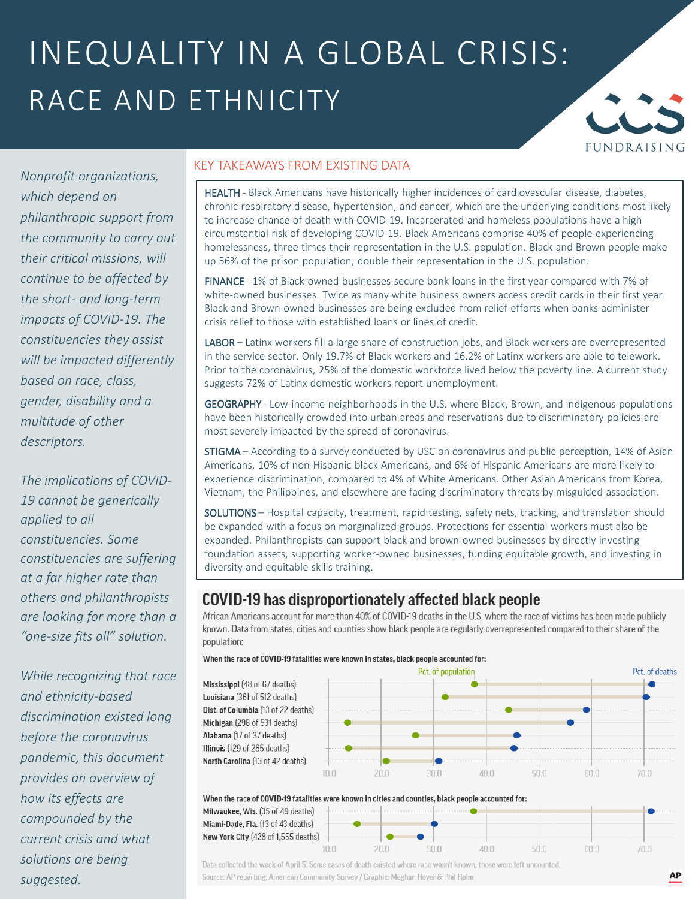## INEQUALITY IN A GLOBAL CRISIS: RACE AND ETHNICITY



*Nonprofit organizations, which depend on philanthropic support from the community to carry out their critical missions, will continue to be affected by the short- and long-term impacts of COVID-19. The constituencies they assist will be impacted differently based on race, class, gender, disability and a multitude of other descriptors.*

*The implications of COVID-19 cannot be generically applied to all constituencies. Some constituencies are suffering at a far higher rate than others and philanthropists are looking for more than a "one-size fits all" solution.*

*While recognizing that race and ethnicity-based discrimination existed long before the coronavirus pandemic, this document provides an overview of how its effects are compounded by the current crisis and what solutions are being suggested.*

#### KEY TAKEAWAYS FROM EXISTING DATA

HEALTH - Black Americans have historically higher incidences of cardiovascular disease, diabetes, chronic respiratory disease, hypertension, and cancer, which are the underlying conditions most likely to increase chance of death with COVID-19. Incarcerated and homeless populations have a high circumstantial risk of developing COVID-19. Black Americans comprise 40% of people experiencing homelessness, three times their representation in the U.S. population. Black and Brown people make up 56% of the prison population, double their representation in the U.S. population.

FINANCE - 1% of Black-owned businesses secure bank loans in the first year compared with 7% of white-owned businesses. Twice as many white business owners access credit cards in their first year. Black and Brown-owned businesses are being excluded from relief efforts when banks administer crisis relief to those with established loans or lines of credit.

LABOR – Latinx workers fill a large share of construction jobs, and Black workers are overrepresented in the service sector. Only 19.7% of Black workers and 16.2% of Latinx workers are able to telework. Prior to the coronavirus, 25% of the domestic workforce lived below the poverty line. A current study suggests 72% of Latinx domestic workers report unemployment.

GEOGRAPHY - Low-income neighborhoods in the U.S. where Black, Brown, and indigenous populations have been historically crowded into urban areas and reservations due to discriminatory policies are most severely impacted by the spread of coronavirus.

STIGMA – According to a survey conducted by USC on coronavirus and public perception, 14% of Asian Americans, 10% of non-Hispanic black Americans, and 6% of Hispanic Americans are more likely to experience discrimination, compared to 4% of White Americans. Other Asian Americans from Korea, Vietnam, the Philippines, and elsewhere are facing discriminatory threats by misguided association.

SOLUTIONS – Hospital capacity, treatment, rapid testing, safety nets, tracking, and translation should be expanded with a focus on marginalized groups. Protections for essential workers must also be expanded. Philanthropists can support black and brown-owned businesses by directly investing foundation assets, supporting worker-owned businesses, funding equitable growth, and investing in diversity and equitable skills training.

### COVID-19 has disproportionately affected black people

African Americans account for more than 40% of COVID-19 deaths in the U.S. where the race of victims has been made publicly known. Data from states, cities and counties show black people are regularly overrepresented compared to their share of the population:

30.0



 $\ln n$ 

50.0

60.0



 $10.0$ 

 $20.0$ Data collected the week of April 5. Some cases of death existed where race wasn't known, those were left uncounted. Source: AP reporting; American Community Survey / Graphic: Meghan Hoyer & Phil Holm

70.0